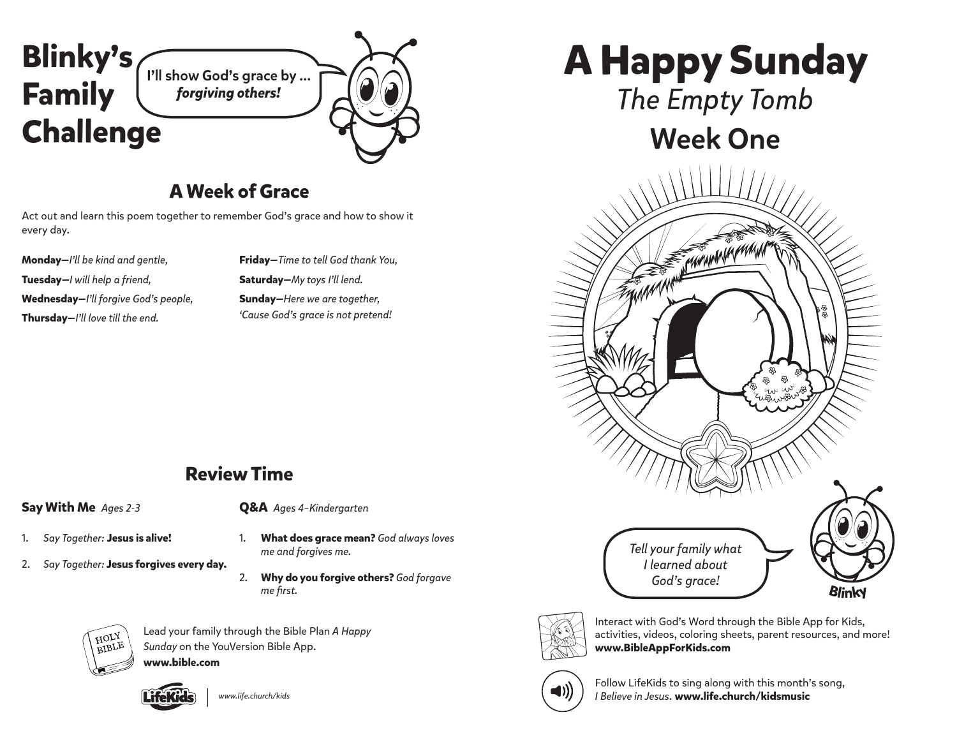

### **A Week of Grace**

Act out and learn this poem together to remember God's grace and how to show it every day.

**Monday—***I'll be kind and gentle,* **Tuesday—***I will help a friend,* **Wednesday—***I'll forgive God's people,* **Thursday—***I'll love till the end.* 

**Friday—***Time to tell God thank You,* **Saturday—***My toys I'll lend.* **Sunday—***Here we are together, 'Cause God's grace is not pretend!*

# **A Happy Sunday**

*The Empty Tomb*

## Week One





Interact with God's Word through the Bible App for Kids, activities, videos, coloring sheets, parent resources, and more! **www.BibleAppForKids.com**



Follow LifeKids to sing along with this month's song, *I Believe in Jesus*. **www.life.church/kidsmusic**

### **Review Time**

#### **Say With Me** *Ages 2-3*

**Q&A** *Ages 4–Kindergarten*

*me and forgives me.*

- 1. *Say Together:* **Jesus is alive!**
- 2. *Say Together:* **Jesus forgives every day.**
- 2. **Why do you forgive others?** *God forgave me first.*

1. **What does grace mean?** *God always loves* 



Lead your family through the Bible Plan *A Happy Sunday* on the YouVersion Bible App.

**www.bible.com**



*www.life.church/kids*